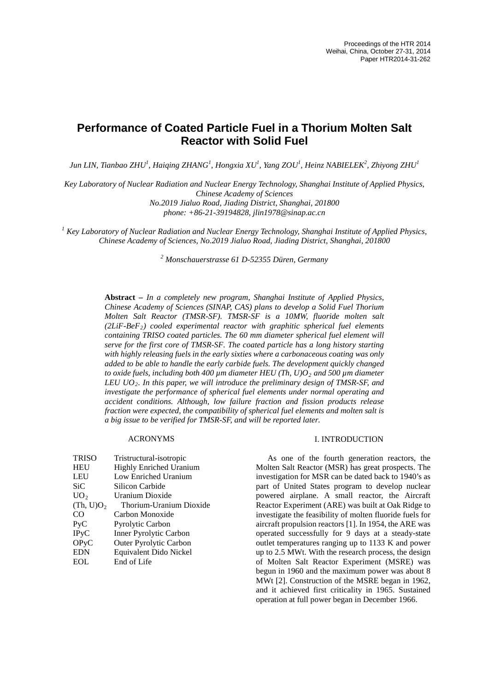# **Performance of Coated Particle Fuel in a Thorium Molten Salt Reactor with Solid Fuel**

 $J$ un LIN, Tianbao ZHU<sup>1</sup>, Haiqing ZHANG<sup>1</sup>, Hongxia XU<sup>1</sup>, Yang ZOU<sup>1</sup>, Heinz NABIELEK $^2$ , Zhiyong ZHU<sup>1</sup>

*Key Laboratory of Nuclear Radiation and Nuclear Energy Technology, Shanghai Institute of Applied Physics, Chinese Academy of Sciences No.2019 Jialuo Road, Jiading District, Shanghai, 201800*

*phone: +86-21-39194828, jlin1978@sinap.ac.cn*

*<sup>1</sup> Key Laboratory of Nuclear Radiation and Nuclear Energy Technology, Shanghai Institute of Applied Physics, Chinese Academy of Sciences, No.2019 Jialuo Road, Jiading District, Shanghai, 201800*

*<sup>2</sup> Monschauerstrasse 61 D-52355 Düren, Germany*

**Abstract –** *In a completely new program, Shanghai Institute of Applied Physics, Chinese Academy of Sciences (SINAP, CAS) plans to develop a Solid Fuel Thorium Molten Salt Reactor (TMSR-SF). TMSR-SF is a 10MW, fluoride molten salt (2LiF-BeF2) cooled experimental reactor with graphitic spherical fuel elements containing TRISO coated particles. The 60 mm diameter spherical fuel element will serve for the first core of TMSR-SF. The coated particle has a long history starting with highly releasing fuels in the early sixties where a carbonaceous coating was only added to be able to handle the early carbide fuels. The development quickly changed to oxide fuels, including both 400 µm diameter HEU (Th, U)O2 and 500 µm diameter LEU UO2. In this paper, we will introduce the preliminary design of TMSR-SF, and investigate the performance of spherical fuel elements under normal operating and accident conditions. Although, low failure fraction and fission products release fraction were expected, the compatibility of spherical fuel elements and molten salt is a big issue to be verified for TMSR-SF, and will be reported later.*

# ACRONYMS

| <b>TRISO</b>          | Tristructural-isotropic        |
|-----------------------|--------------------------------|
| <b>HEU</b>            | <b>Highly Enriched Uranium</b> |
| LEU                   | Low Enriched Uranium           |
| SiC                   | Silicon Carbide                |
| UO <sub>2</sub>       | Uranium Dioxide                |
| (Th, U)O <sub>2</sub> | Thorium-Uranium Dioxide        |
|                       |                                |
| CO                    | Carbon Monoxide                |
| Pyc                   | <b>Pyrolytic Carbon</b>        |
| <b>IPyC</b>           | <b>Inner Pyrolytic Carbon</b>  |
| OPyC                  | <b>Outer Pyrolytic Carbon</b>  |
| <b>EDN</b>            | Equivalent Dido Nickel         |

# I. INTRODUCTION

As one of the fourth generation reactors, the Molten Salt Reactor (MSR) has great prospects. The investigation for MSR can be dated back to 1940's as part of United States program to develop nuclear powered airplane. A small reactor, the Aircraft Reactor Experiment (ARE) was built at Oak Ridge to investigate the feasibility of molten fluoride fuels for aircraft propulsion reactors [1]. In 1954, the ARE was operated successfully for 9 days at a steady-state outlet temperatures ranging up to 1133 K and power up to 2.5 MWt. With the research process, the design of Molten Salt Reactor Experiment (MSRE) was begun in 1960 and the maximum power was about 8 MWt [2]. Construction of the MSRE began in 1962, and it achieved first criticality in 1965. Sustained operation at full power began in December 1966.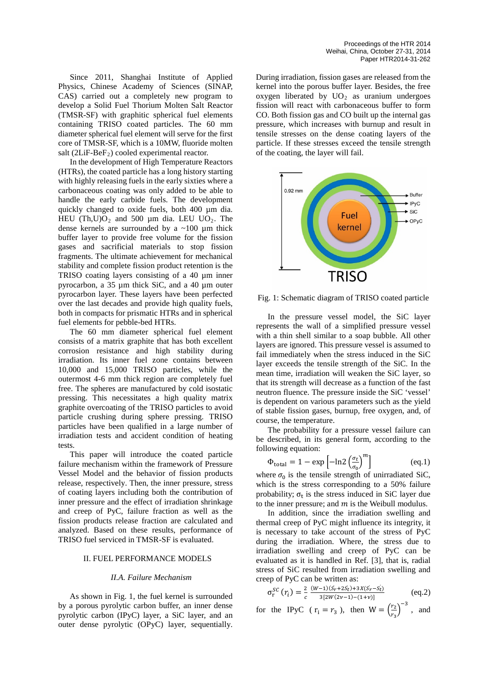Since 2011, Shanghai Institute of Applied Physics, Chinese Academy of Sciences (SINAP, CAS) carried out a completely new program to develop a Solid Fuel Thorium Molten Salt Reactor (TMSR-SF) with graphitic spherical fuel elements containing TRISO coated particles. The 60 mm diameter spherical fuel element will serve for the first core of TMSR-SF, which is a 10MW, fluoride molten salt ( $2LiF-BeF<sub>2</sub>$ ) cooled experimental reactor.

In the development of High Temperature Reactors (HTRs), the coated particle has a long history starting with highly releasing fuels in the early sixties where a carbonaceous coating was only added to be able to handle the early carbide fuels. The development quickly changed to oxide fuels, both 400 µm dia. HEU (Th,U) $O_2$  and 500 µm dia. LEU UO<sub>2</sub>. The dense kernels are surrounded by a  $\sim$ 100 µm thick buffer layer to provide free volume for the fission gases and sacrificial materials to stop fission fragments. The ultimate achievement for mechanical stability and complete fission product retention is the TRISO coating layers consisting of a 40 µm inner pyrocarbon, a 35 µm thick SiC, and a 40 µm outer pyrocarbon layer. These layers have been perfected over the last decades and provide high quality fuels, both in compacts for prismatic HTRs and in spherical fuel elements for pebble-bed HTRs.

The 60 mm diameter spherical fuel element consists of a matrix graphite that has both excellent corrosion resistance and high stability during irradiation. Its inner fuel zone contains between 10,000 and 15,000 TRISO particles, while the outermost 4-6 mm thick region are completely fuel free. The spheres are manufactured by cold isostatic pressing. This necessitates a high quality matrix graphite overcoating of the TRISO particles to avoid particle crushing during sphere pressing. TRISO particles have been qualified in a large number of irradiation tests and accident condition of heating tests.

This paper will introduce the coated particle failure mechanism within the framework of Pressure Vessel Model and the behavior of fission products release, respectively. Then, the inner pressure, stress of coating layers including both the contribution of inner pressure and the effect of irradiation shrinkage and creep of PyC, failure fraction as well as the fission products release fraction are calculated and analyzed. Based on these results, performance of TRISO fuel serviced in TMSR-SF is evaluated.

# II. FUEL PERFORMANCE MODELS

## *II.A. Failure Mechanism*

As shown in Fig. 1, the fuel kernel is surrounded by a porous pyrolytic carbon buffer, an inner dense pyrolytic carbon (IPyC) layer, a SiC layer, and an outer dense pyrolytic (OPyC) layer, sequentially.

During irradiation, fission gases are released from the kernel into the porous buffer layer. Besides, the free oxygen liberated by  $UO<sub>2</sub>$  as uranium undergoes fission will react with carbonaceous buffer to form CO. Both fission gas and CO built up the internal gas pressure, which increases with burnup and result in tensile stresses on the dense coating layers of the particle. If these stresses exceed the tensile strength of the coating, the layer will fail.



Fig. 1: Schematic diagram of TRISO coated particle

In the pressure vessel model, the SiC layer represents the wall of a simplified pressure vessel with a thin shell similar to a soap bubble. All other layers are ignored. This pressure vessel is assumed to fail immediately when the stress induced in the SiC layer exceeds the tensile strength of the SiC. In the mean time, irradiation will weaken the SiC layer, so that its strength will decrease as a function of the fast neutron fluence. The pressure inside the SiC 'vessel' is dependent on various parameters such as the yield of stable fission gases, burnup, free oxygen, and, of course, the temperature.

The probability for a pressure vessel failure can be described, in its general form, according to the following equation:

$$
\Phi_{\text{total}} = 1 - \exp\left[-\ln 2 \left(\frac{\sigma_t}{\sigma_0}\right)^m\right] \tag{eq.1}
$$

where  $\sigma_0$  is the tensile strength of unirradiated SiC, which is the stress corresponding to a 50% failure probability;  $\sigma_t$  is the stress induced in SiC layer due to the inner pressure; and  $m$  is the Weibull modulus.

In addition, since the irradiation swelling and thermal creep of PyC might influence its integrity, it is necessary to take account of the stress of PyC during the irradiation. Where, the stress due to irradiation swelling and creep of PyC can be evaluated as it is handled in Ref. [3], that is, radial stress of SiC resulted from irradiation swelling and creep of PyC can be written as:

$$
\sigma_{r}^{SC}(r_i) = \frac{2}{c} \frac{(W-1)(S_r + 2S_t) + 3X(S_r - S_t)}{3[2W(2\nu - 1) - (1+\nu)]}
$$
(eq.2)

for the IPvC 
$$
(r_i = r_3)
$$
, then  $W = \left(\frac{r_2}{r_3}\right)^{-3}$ , and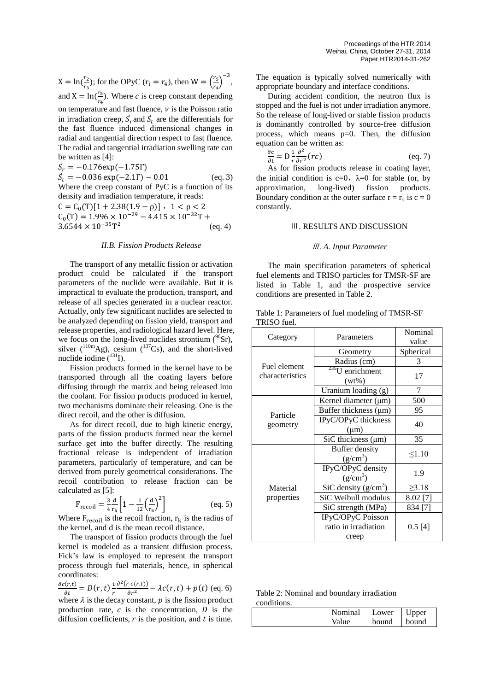$X = \ln(\frac{r_2}{r_3})$  $\frac{r_2}{r_3}$ ; for the OPyC ( $r_1 = r_4$ ), then  $W = \left(\frac{r_5}{r_4}\right)$  $\left(\frac{r_5}{r_4}\right)^{-3},$ and  $X = \ln(\frac{r_5}{r_4})$  $\frac{1}{r_4}$ ). Where *c* is creep constant depending on temperature and fast fluence,  $\nu$  is the Poisson ratio in irradiation creep,  $S_r$  and  $S_t$  are the differentials for the fast fluence induced dimensional changes in radial and tangential direction respect to fast fluence. The radial and tangential irradiation swelling rate can be written as [4]:

 $S_r = -0.176 \exp(-1.75\Gamma)$  $S_t = -0.036 \exp(-2.1\Gamma) - 0.01$  (eq. 3) Where the creep constant of PyC is a function of its density and irradiation temperature, it reads:  $C = C_0(T)[1 + 2.38(1.9 - \rho)]$ ,  $1 < \rho < 2$  $C_0(T) = 1.996 \times 10^{-29} - 4.415 \times 10^{-32}T +$ <br>3.6544 × 10<sup>-35</sup>T<sup>2</sup> (eq. 4)  $3.6544 \times 10^{-35}$ T<sup>2</sup>

# *II.B. Fission Products Release*

The transport of any metallic fission or activation product could be calculated if the transport parameters of the nuclide were available. But it is impractical to evaluate the production, transport, and release of all species generated in a nuclear reactor. Actually, only few significant nuclides are selected to be analyzed depending on fission yield, transport and release properties, and radiological hazard level. Here, we focus on the long-lived nuclides strontium  $(^{90}Sr)$ , silver  $(^{110m}Ag)$ , cesium  $(^{137}Cs)$ , and the short-lived nuclide iodine  $(^{131}I)$ .

Fission products formed in the kernel have to be transported through all the coating layers before diffusing through the matrix and being released into the coolant. For fission products produced in kernel, two mechanisms dominate their releasing. One is the direct recoil, and the other is diffusion.

As for direct recoil, due to high kinetic energy, parts of the fission products formed near the kernel surface get into the buffer directly. The resulting fractional release is independent of irradiation parameters, particularly of temperature, and can be derived from purely geometrical considerations. The recoil contribution to release fraction can be calculated as [5]:

$$
F_{\text{recoil}} = \frac{3}{4} \frac{d}{r_k} \left[ 1 - \frac{1}{12} \left( \frac{d}{r_k} \right)^2 \right] \tag{eq. 5}
$$

Where  $F_{\text{recoil}}$  is the recoil fraction,  $r_k$  is the radius of the kernel, and d is the mean recoil distance.

The transport of fission products through the fuel kernel is modeled as a transient diffusion process. Fick's law is employed to represent the transport process through fuel materials, hence, in spherical coordinates:

 $\frac{\partial c(r,t)}{\partial t} = D(r,t)\frac{1}{r}$  $\frac{\partial^2 (r c(r,t))}{\partial r^2} - \lambda c(r,t) + p(t)$  (eq. 6) where  $\lambda$  is the decay constant,  $p$  is the fission product production rate,  $c$  is the concentration,  $D$  is the diffusion coefficients,  $r$  is the position, and  $t$  is time.

The equation is typically solved numerically with appropriate boundary and interface conditions.

During accident condition, the neutron flux is stopped and the fuel is not under irradiation anymore. So the release of long-lived or stable fission products is dominantly controlled by source-free diffusion process, which means p=0. Then, the diffusion equation can be written as:

$$
\frac{\partial c}{\partial t} = D \frac{1}{r} \frac{\partial^2}{\partial r^2} (rc)
$$
 (eq. 7)

As for fission products release in coating layer, the initial condition is c=0,  $\lambda=0$  for stable (or, by approximation, long-lived) fission products. Boundary condition at the outer surface  $r = r_s$  is  $c = 0$ constantly.

#### Ⅲ. RESULTS AND DISCUSSION

## <sup>Ⅲ</sup>*. A. Input Parameter*

The main specification parameters of spherical fuel elements and TRISO particles for TMSR-SF are listed in Table 1, and the prospective service conditions are presented in Table 2.

| Table 1: Parameters of fuel modeling of TMSR-SF |  |  |
|-------------------------------------------------|--|--|
| TRISO fuel.                                     |  |  |

| Category                        | Parameters                                         | Nominal<br>value |
|---------------------------------|----------------------------------------------------|------------------|
| Fuel element<br>characteristics | Geometry                                           | Spherical        |
|                                 | Radius (cm)                                        | 3                |
|                                 | $235$ U enrichment<br>$(wt\%)$                     | 17               |
|                                 | Uranium loading (g)                                | 7                |
|                                 | Kernel diameter $(\mu m)$                          | 500              |
| Particle                        | Buffer thickness $(\mu m)$                         | 95               |
| geometry                        | IPyC/OPyC thickness<br>$(\mu m)$                   | 40               |
|                                 | $SiC$ thickness ( $\mu$ m)                         | 35               |
|                                 | Buffer density<br>$(g/cm^3)$                       | $\leq 1.10$      |
|                                 | IPyC/OPyC density<br>$(g/cm^3)$                    | 1.9              |
| Material                        | $\overline{SiC}$ density (g/cm <sup>3</sup> )      | $\geq 3.18$      |
| properties                      | SiC Weibull modulus                                | $8.02$ [7]       |
|                                 | SiC strength (MPa)                                 | 834 [7]          |
|                                 | IPyC/OPyC Poisson<br>ratio in irradiation<br>creep | $0.5$ [4]        |

Table 2: Nominal and boundary irradiation conditions.

| Nominal | Lower | Upper |
|---------|-------|-------|
| Value   | bound | bound |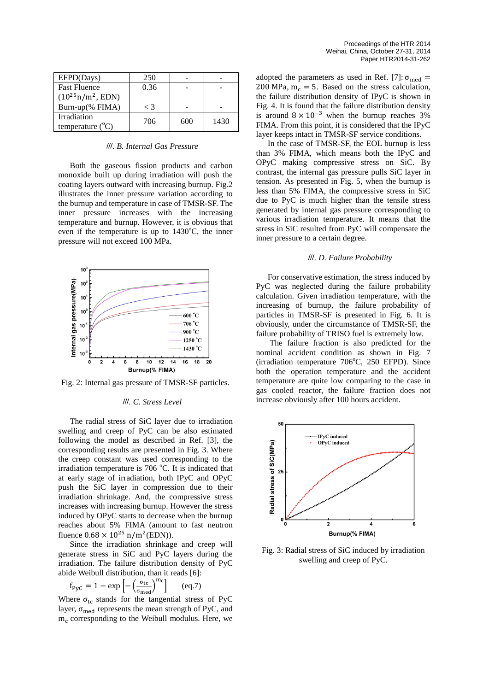| EFPD(Days)                               | 250   |     |      |
|------------------------------------------|-------|-----|------|
| <b>Fast Fluence</b>                      | 0.36  |     |      |
| $(10^{25} \text{n/m}^2,$ EDN)            |       |     |      |
| Burn-up(% FIMA)                          | $<$ 3 |     |      |
| Irradiation<br>temperature $(^{\circ}C)$ | 706   | 600 | 1430 |

#### <sup>Ⅲ</sup>*. B. Internal Gas Pressure*

Both the gaseous fission products and carbon monoxide built up during irradiation will push the coating layers outward with increasing burnup. Fig.2 illustrates the inner pressure variation according to the burnup and temperature in case of TMSR-SF. The inner pressure increases with the increasing temperature and burnup. However, it is obvious that even if the temperature is up to  $1430^{\circ}$ C, the inner pressure will not exceed 100 MPa.



Fig. 2: Internal gas pressure of TMSR-SF particles.

## <sup>Ⅲ</sup>*. C. Stress Level*

The radial stress of SiC layer due to irradiation swelling and creep of PyC can be also estimated following the model as described in Ref. [3], the corresponding results are presented in Fig. 3. Where the creep constant was used corresponding to the irradiation temperature is 706 °C. It is indicated that at early stage of irradiation, both IPyC and OPyC push the SiC layer in compression due to their irradiation shrinkage. And, the compressive stress increases with increasing burnup. However the stress induced by OPyC starts to decrease when the burnup reaches about 5% FIMA (amount to fast neutron fluence  $0.68 \times 10^{25}$  n/m<sup>2</sup>(EDN)).

Since the irradiation shrinkage and creep will generate stress in SiC and PyC layers during the irradiation. The failure distribution density of PyC abide Weibull distribution, than it reads [6]:

$$
f_{\rm PyC} = 1 - \exp\left[-\left(\frac{\sigma_{\rm tc}}{\sigma_{\rm med}}\right)^{\rm mc}\right] \qquad \text{(eq.7)}
$$

Where  $\sigma_{\text{tc}}$  stands for the tangential stress of PyC layer,  $\sigma_{\text{med}}$  represents the mean strength of PyC, and  $m<sub>c</sub>$  corresponding to the Weibull modulus. Here, we

adopted the parameters as used in Ref. [7]:  $\sigma_{\text{med}} =$ 200 MPa,  $m_c = 5$ . Based on the stress calculation, the failure distribution density of IPyC is shown in Fig. 4. It is found that the failure distribution density is around  $8 \times 10^{-3}$  when the burnup reaches 3% FIMA. From this point, it is considered that the IPyC layer keeps intact in TMSR-SF service conditions.

In the case of TMSR-SF, the EOL burnup is less than 3% FIMA, which means both the IPyC and OPyC making compressive stress on SiC. By contrast, the internal gas pressure pulls SiC layer in tension. As presented in Fig. 5, when the burnup is less than 5% FIMA, the compressive stress in SiC due to PyC is much higher than the tensile stress generated by internal gas pressure corresponding to various irradiation temperature. It means that the stress in SiC resulted from PyC will compensate the inner pressure to a certain degree.

## <sup>Ⅲ</sup>*. D. Failure Probability*

For conservative estimation, the stress induced by PyC was neglected during the failure probability calculation. Given irradiation temperature, with the increasing of burnup, the failure probability of particles in TMSR-SF is presented in Fig. 6. It is obviously, under the circumstance of TMSR-SF, the failure probability of TRISO fuel is extremely low.

The failure fraction is also predicted for the nominal accident condition as shown in Fig. 7 (irradiation temperature 706°C, 250 EFPD). Since both the operation temperature and the accident temperature are quite low comparing to the case in gas cooled reactor, the failure fraction does not increase obviously after 100 hours accident.



Fig. 3: Radial stress of SiC induced by irradiation swelling and creep of PyC.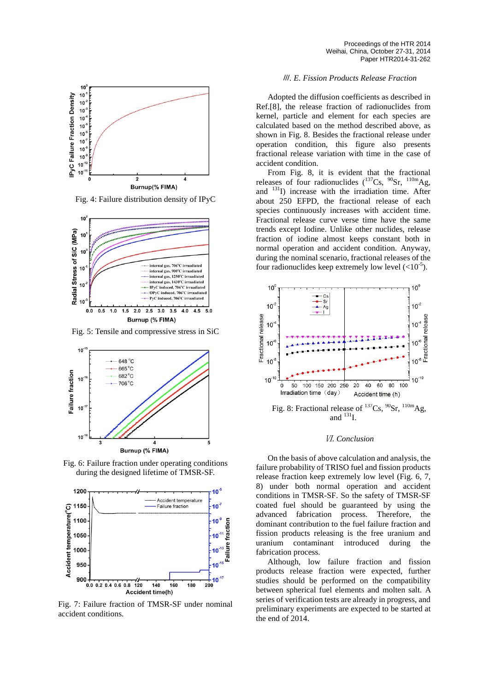

Fig. 4: Failure distribution density of IPyC



Fig. 5: Tensile and compressive stress in SiC



Fig. 6: Failure fraction under operating conditions during the designed lifetime of TMSR-SF.



Fig. 7: Failure fraction of TMSR-SF under nominal accident conditions.

# <sup>Ⅲ</sup>*. E. Fission Products Release Fraction*

Adopted the diffusion coefficients as described in Ref.[8], the release fraction of radionuclides from kernel, particle and element for each species are calculated based on the method described above, as shown in Fig. 8. Besides the fractional release under operation condition, this figure also presents fractional release variation with time in the case of accident condition.

From Fig. 8, it is evident that the fractional releases of four radionuclides  $(^{137}Cs, ^{90}Sr, ^{110m}Ag,$ and  $131$ ]) increase with the irradiation time. After about 250 EFPD, the fractional release of each species continuously increases with accident time. Fractional release curve verse time have the same trends except Iodine. Unlike other nuclides, release fraction of iodine almost keeps constant both in normal operation and accident condition. Anyway, during the nominal scenario, fractional releases of the four radionuclides keep extremely low level  $(<10^{-5})$ .



## Ⅵ*. Conclusion*

On the basis of above calculation and analysis, the failure probability of TRISO fuel and fission products release fraction keep extremely low level (Fig. 6, 7, 8) under both normal operation and accident conditions in TMSR-SF. So the safety of TMSR-SF coated fuel should be guaranteed by using the advanced fabrication process. Therefore, the dominant contribution to the fuel failure fraction and fission products releasing is the free uranium and uranium contaminant introduced during the fabrication process.

Although, low failure fraction and fission products release fraction were expected, further studies should be performed on the compatibility between spherical fuel elements and molten salt. A series of verification tests are already in progress, and preliminary experiments are expected to be started at the end of 2014.